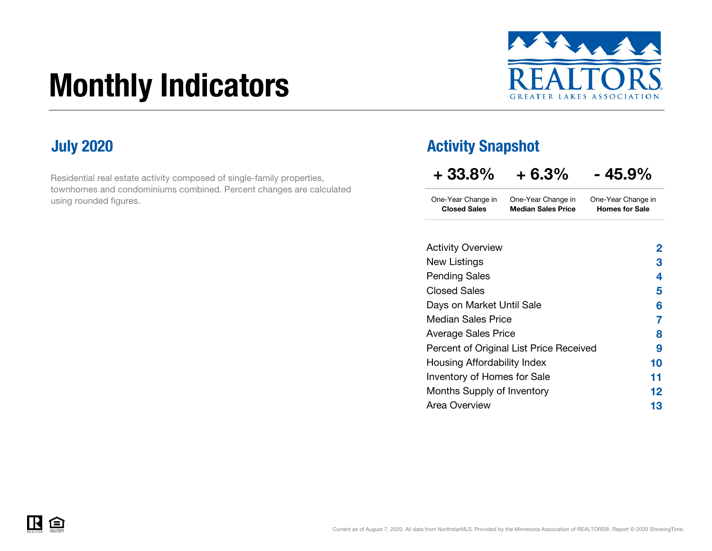# Monthly Indicators



Residential real estate activity composed of single-family properties, townhomes and condominiums combined. Percent changes are calculated using rounded figures.

### **July 2020 Activity Snapshot**

| $+33.8%$                                  | $+6.3\%$                                        | - 45.9%                                     |
|-------------------------------------------|-------------------------------------------------|---------------------------------------------|
| One-Year Change in<br><b>Closed Sales</b> | One-Year Change in<br><b>Median Sales Price</b> | One-Year Change in<br><b>Homes for Sale</b> |
|                                           |                                                 |                                             |
| <b>Activity Overview</b>                  |                                                 | 2                                           |
| New Listings                              |                                                 | 3                                           |
| <b>Pending Sales</b>                      |                                                 | 4                                           |
| Closed Sales                              |                                                 | 5                                           |
| Days on Market Until Sale                 |                                                 | 6                                           |
| <b>Median Sales Price</b>                 |                                                 | 7                                           |
| <b>Average Sales Price</b>                |                                                 | 8                                           |
|                                           | Percent of Original List Price Received         | 9                                           |
| Housing Affordability Index               |                                                 | 10                                          |
| Inventory of Homes for Sale               |                                                 | 11                                          |
| Months Supply of Inventory                |                                                 | 12                                          |
| Area Overview                             |                                                 | 13                                          |

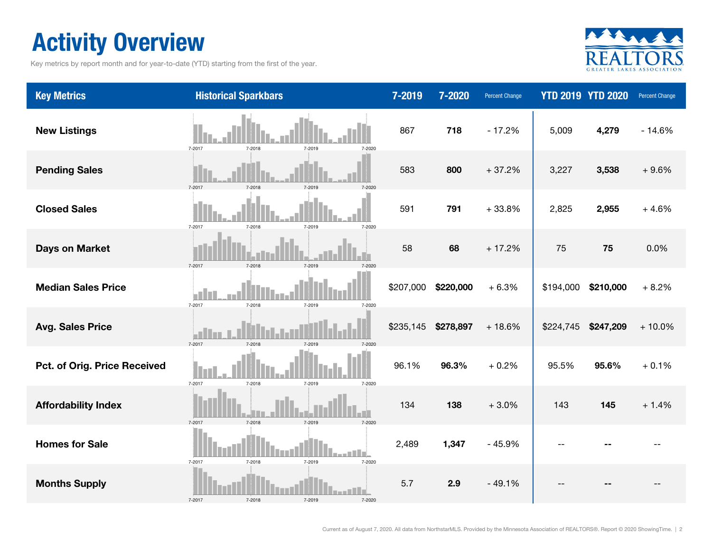### Activity Overview

Key metrics by report month and for year-to-date (YTD) starting from the first of the year.



| <b>Key Metrics</b>           | <b>Historical Sparkbars</b>                          | 7-2019    | 7-2020    | Percent Change |           | <b>YTD 2019 YTD 2020</b> | Percent Change |
|------------------------------|------------------------------------------------------|-----------|-----------|----------------|-----------|--------------------------|----------------|
| <b>New Listings</b>          | 7-2017<br>7-2019<br>7-2018<br>7-2020                 | 867       | 718       | $-17.2%$       | 5,009     | 4,279                    | $-14.6%$       |
| <b>Pending Sales</b>         | 7-2017<br>7-2018<br>7-2019                           | 583       | 800       | $+37.2%$       | 3,227     | 3,538                    | $+9.6%$        |
| <b>Closed Sales</b>          | 7-2017<br>7-2018<br>7-2019<br>7-2020                 | 591       | 791       | $+33.8%$       | 2,825     | 2,955                    | $+4.6%$        |
| <b>Days on Market</b>        | 7-2017<br>7-2018<br>7-2019                           | 58        | 68        | $+17.2%$       | 75        | 75                       | 0.0%           |
| <b>Median Sales Price</b>    | $\mathbf{r}$<br>7-2017<br>7-2018<br>7-2019<br>7-2020 | \$207,000 | \$220,000 | $+6.3%$        | \$194,000 | \$210,000                | $+8.2%$        |
| <b>Avg. Sales Price</b>      | 7-2017<br>7-2018<br>7-2019                           | \$235,145 | \$278,897 | $+18.6%$       | \$224,745 | \$247,209                | $+10.0%$       |
| Pct. of Orig. Price Received | 7-2017<br>7-2018<br>7-2019<br>7-2020                 | 96.1%     | 96.3%     | $+0.2%$        | 95.5%     | 95.6%                    | $+0.1%$        |
| <b>Affordability Index</b>   | 7-2018<br>7-2017<br>7-2019<br>7-2020                 | 134       | 138       | $+3.0%$        | 143       | 145                      | $+1.4%$        |
| <b>Homes for Sale</b>        | 7-2019<br>7-2017<br>7-2018<br>7-2020                 | 2,489     | 1,347     | $-45.9%$       |           |                          |                |
| <b>Months Supply</b>         | 7-2017<br>7-2018<br>7-2019<br>7-2020                 | 5.7       | 2.9       | $-49.1%$       |           |                          |                |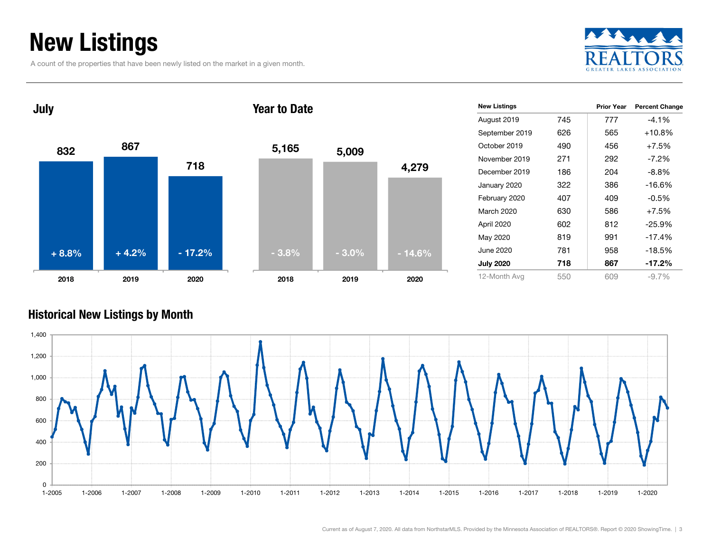### New Listings

A count of the properties that have been newly listed on the market in a given month.





| <b>New Listings</b> |     | <b>Prior Year</b> | <b>Percent Change</b> |
|---------------------|-----|-------------------|-----------------------|
| August 2019         | 745 | 777               | $-4.1%$               |
| September 2019      | 626 | 565               | $+10.8%$              |
| October 2019        | 490 | 456               | $+7.5%$               |
| November 2019       | 271 | 292               | $-7.2\%$              |
| December 2019       | 186 | 204               | $-8.8\%$              |
| January 2020        | 322 | 386               | $-16.6%$              |
| February 2020       | 407 | 409               | $-0.5\%$              |
| March 2020          | 630 | 586               | $+7.5%$               |
| April 2020          | 602 | 812               | $-25.9%$              |
| May 2020            | 819 | 991               | $-17.4%$              |
| June 2020           | 781 | 958               | $-18.5%$              |
| <b>July 2020</b>    | 718 | 867               | $-17.2\%$             |
| 12-Month Avg        | 550 | 609               | $-9.7\%$              |

#### Historical New Listings by Month

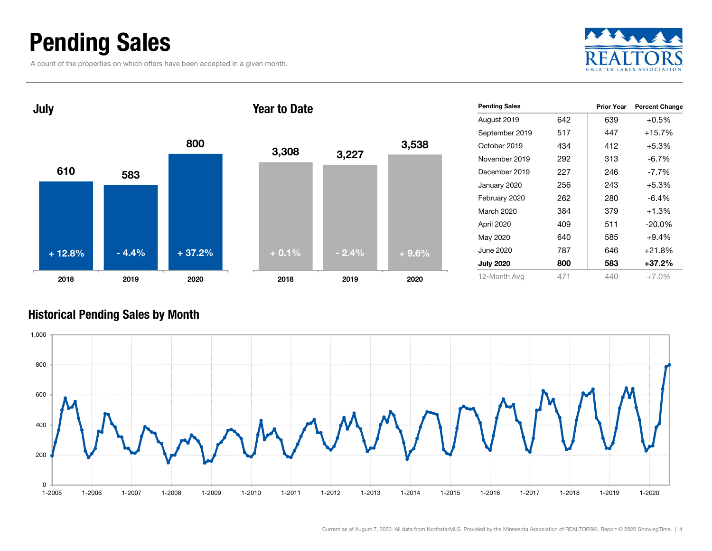### Pending Sales

A count of the properties on which offers have been accepted in a given month.





| <b>Pending Sales</b> |     | <b>Prior Year</b> | <b>Percent Change</b> |
|----------------------|-----|-------------------|-----------------------|
| August 2019          | 642 | 639               | $+0.5%$               |
| September 2019       | 517 | 447               | $+15.7%$              |
| October 2019         | 434 | 412               | $+5.3%$               |
| November 2019        | 292 | 313               | $-6.7\%$              |
| December 2019        | 227 | 246               | $-7.7\%$              |
| January 2020         | 256 | 243               | $+5.3%$               |
| February 2020        | 262 | 280               | -6.4%                 |
| March 2020           | 384 | 379               | $+1.3%$               |
| April 2020           | 409 | 511               | $-20.0\%$             |
| May 2020             | 640 | 585               | $+9.4%$               |
| June 2020            | 787 | 646               | $+21.8%$              |
| <b>July 2020</b>     | 800 | 583               | $+37.2%$              |
| 12-Month Avg         | 471 | 440               | $+7.0\%$              |

#### Historical Pending Sales by Month

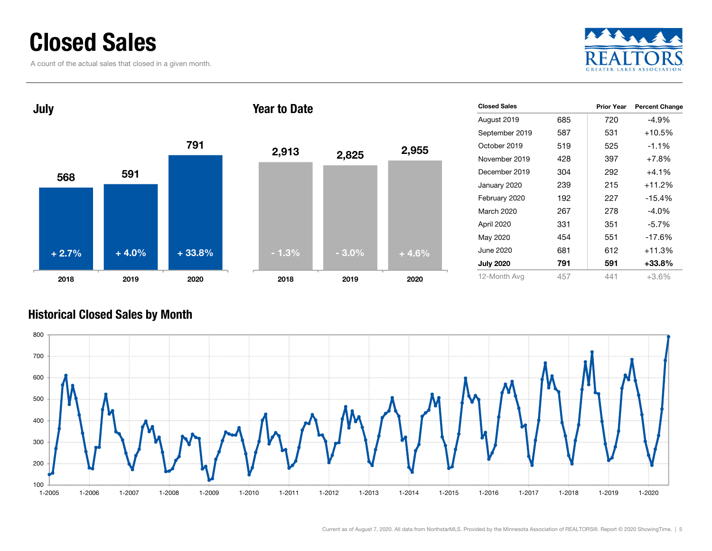### Closed Sales

A count of the actual sales that closed in a given month.





| <b>Closed Sales</b> |     | <b>Prior Year</b> | <b>Percent Change</b> |
|---------------------|-----|-------------------|-----------------------|
| August 2019         | 685 | 720               | -4.9%                 |
| September 2019      | 587 | 531               | $+10.5%$              |
| October 2019        | 519 | 525               | $-1.1\%$              |
| November 2019       | 428 | 397               | $+7.8%$               |
| December 2019       | 304 | 292               | $+4.1\%$              |
| January 2020        | 239 | 215               | $+11.2%$              |
| February 2020       | 192 | 227               | $-15.4%$              |
| March 2020          | 267 | 278               | $-4.0%$               |
| April 2020          | 331 | 351               | $-5.7%$               |
| May 2020            | 454 | 551               | $-17.6%$              |
| June 2020           | 681 | 612               | $+11.3%$              |
| <b>July 2020</b>    | 791 | 591               | +33.8%                |
| 12-Month Avg        | 457 | 441               | $+3.6%$               |

#### Historical Closed Sales by Month

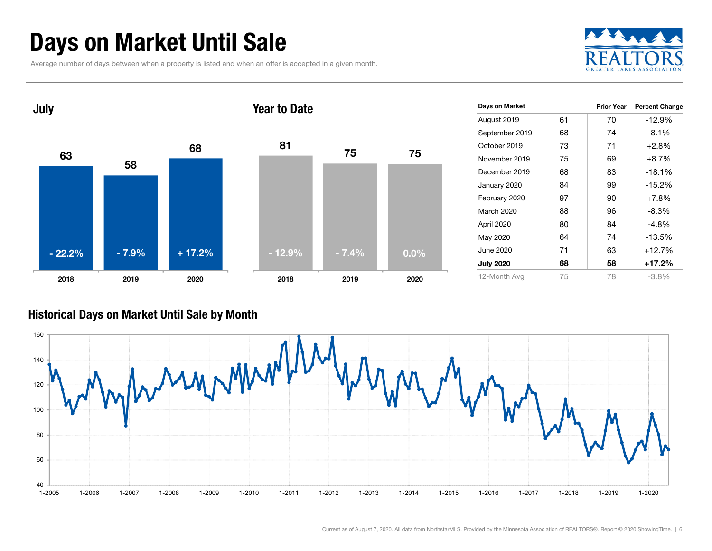### Days on Market Until Sale

Average number of days between when a property is listed and when an offer is accepted in a given month.





#### Historical Days on Market Until Sale by Month

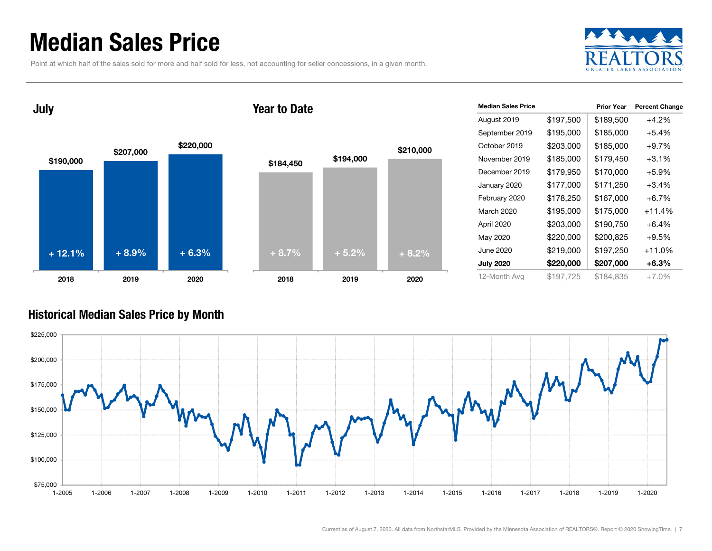### Median Sales Price

Point at which half of the sales sold for more and half sold for less, not accounting for seller concessions, in a given month.



July

#### Year to Date



| <b>Median Sales Price</b> |           | <b>Prior Year</b> |                       |
|---------------------------|-----------|-------------------|-----------------------|
|                           |           |                   | <b>Percent Change</b> |
| August 2019               | \$197,500 | \$189,500         | $+4.2%$               |
| September 2019            | \$195,000 | \$185,000         | +5.4%                 |
| October 2019              | \$203,000 | \$185,000         | $+9.7%$               |
| November 2019             | \$185,000 | \$179,450         | $+3.1%$               |
| December 2019             | \$179,950 | \$170,000         | $+5.9%$               |
| January 2020              | \$177,000 | \$171,250         | $+3.4%$               |
| February 2020             | \$178,250 | \$167,000         | $+6.7%$               |
| March 2020                | \$195,000 | \$175,000         | $+11.4%$              |
| April 2020                | \$203,000 | \$190,750         | $+6.4%$               |
| May 2020                  | \$220,000 | \$200,825         | $+9.5%$               |
| June 2020                 | \$219,000 | \$197,250         | +11.0%                |
| <b>July 2020</b>          | \$220,000 | \$207,000         | $+6.3%$               |
| 12-Month Avg              | \$197,725 | \$184.835         | $+7.0%$               |

#### Historical Median Sales Price by Month

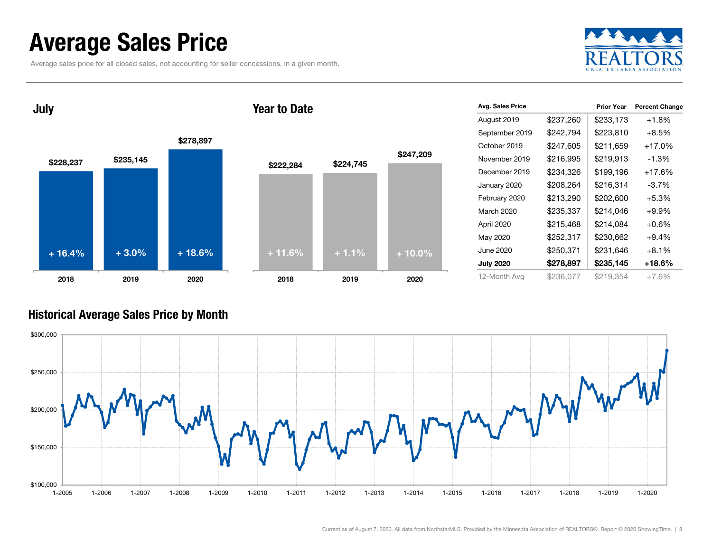### Average Sales Price

Average sales price for all closed sales, not accounting for seller concessions, in a given month.



\$228,237 \$235,145 \$278,897 2018 2019 2020 July + 16.4%

#### Year to Date



| Avg. Sales Price |           | <b>Prior Year</b> | <b>Percent Change</b> |
|------------------|-----------|-------------------|-----------------------|
| August 2019      | \$237,260 | \$233,173         | $+1.8%$               |
| September 2019   | \$242,794 | \$223,810         | $+8.5\%$              |
| October 2019     | \$247,605 | \$211,659         | +17.0%                |
| November 2019    | \$216,995 | \$219,913         | $-1.3\%$              |
| December 2019    | \$234,326 | \$199,196         | $+17.6%$              |
| January 2020     | \$208,264 | \$216,314         | $-3.7\%$              |
| February 2020    | \$213,290 | \$202,600         | $+5.3%$               |
| March 2020       | \$235,337 | \$214,046         | +9.9%                 |
| April 2020       | \$215,468 | \$214,084         | $+0.6\%$              |
| May 2020         | \$252,317 | \$230,662         | $+9.4%$               |
| June 2020        | \$250,371 | \$231,646         | +8.1%                 |
| <b>July 2020</b> | \$278,897 | \$235,145         | +18.6%                |
| 12-Month Avg     | \$236,077 | \$219,354         | $+7.6%$               |

#### Historical Average Sales Price by Month

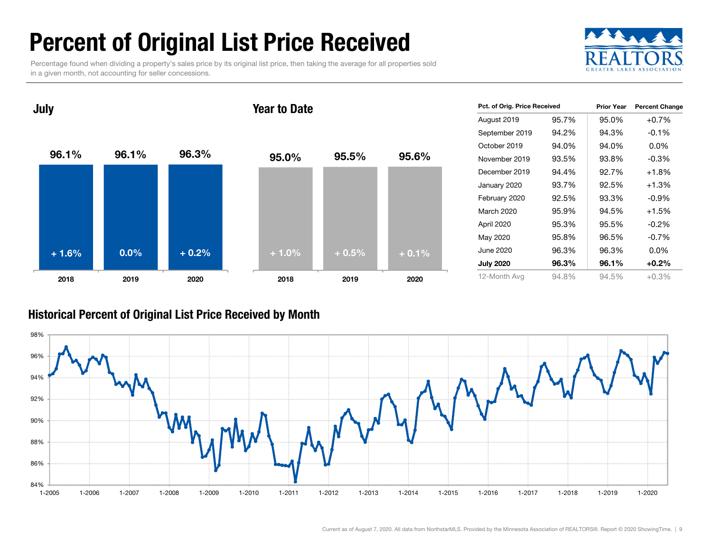### Percent of Original List Price Received

Percentage found when dividing a property's sales price by its original list price, then taking the average for all properties sold in a given month, not accounting for seller concessions.





| Pct. of Orig. Price Received |       | <b>Prior Year</b> | <b>Percent Change</b> |
|------------------------------|-------|-------------------|-----------------------|
| August 2019                  | 95.7% | 95.0%             | $+0.7%$               |
| September 2019               | 94.2% | 94.3%             | $-0.1%$               |
| October 2019                 | 94.0% | 94.0%             | 0.0%                  |
| November 2019                | 93.5% | 93.8%             | $-0.3\%$              |
| December 2019                | 94.4% | 92.7%             | $+1.8%$               |
| January 2020                 | 93.7% | 92.5%             | $+1.3%$               |
| February 2020                | 92.5% | 93.3%             | $-0.9%$               |
| March 2020                   | 95.9% | 94.5%             | $+1.5%$               |
| April 2020                   | 95.3% | 95.5%             | $-0.2\%$              |
| May 2020                     | 95.8% | 96.5%             | $-0.7%$               |
| June 2020                    | 96.3% | 96.3%             | 0.0%                  |
| <b>July 2020</b>             | 96.3% | 96.1%             | $+0.2\%$              |
| 12-Month Avg                 | 94.8% | 94.5%             | $+0.3%$               |

#### Historical Percent of Original List Price Received by Month

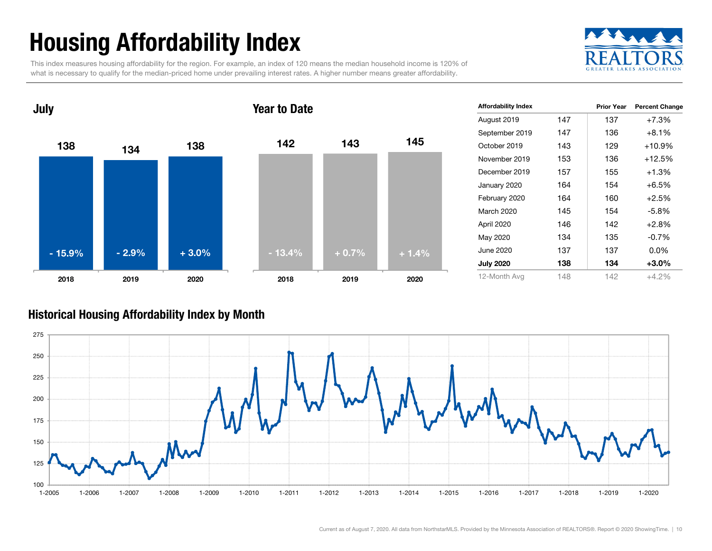## Housing Affordability Index

This index measures housing affordability for the region. For example, an index of 120 means the median household income is 120% of what is necessary to qualify for the median-priced home under prevailing interest rates. A higher number means greater affordability.





| <b>Affordability Index</b> |     | <b>Prior Year</b> | <b>Percent Change</b> |
|----------------------------|-----|-------------------|-----------------------|
| August 2019                | 147 | 137               | $+7.3%$               |
| September 2019             | 147 | 136               | $+8.1%$               |
| October 2019               | 143 | 129               | $+10.9%$              |
| November 2019              | 153 | 136               | $+12.5%$              |
| December 2019              | 157 | 155               | $+1.3%$               |
| January 2020               | 164 | 154               | $+6.5%$               |
| February 2020              | 164 | 160               | $+2.5%$               |
| <b>March 2020</b>          | 145 | 154               | -5.8%                 |
| April 2020                 | 146 | 142               | $+2.8%$               |
| May 2020                   | 134 | 135               | $-0.7\%$              |
| June 2020                  | 137 | 137               | $0.0\%$               |
| <b>July 2020</b>           | 138 | 134               | $+3.0%$               |
| 12-Month Avg               | 148 | 142               | +4.2%                 |

#### Historical Housing Affordability Index by Mont h

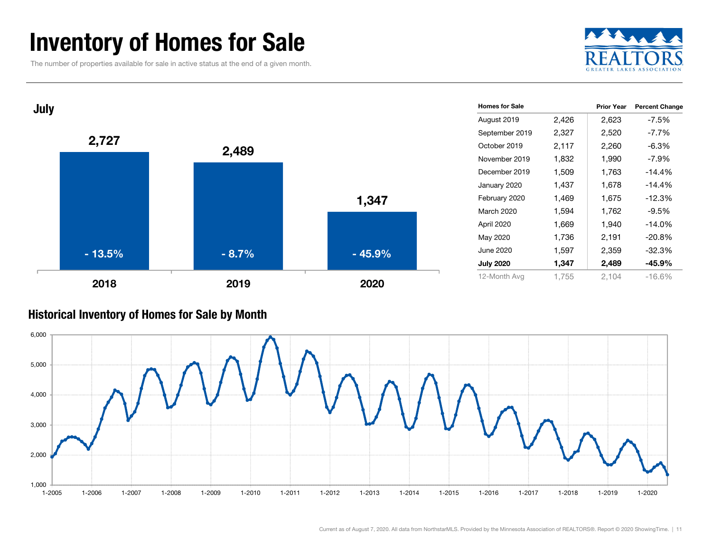### Inventory of Homes for Sale

The number of properties available for sale in active status at the end of a given month.





#### Historical Inventory of Homes for Sale by Month

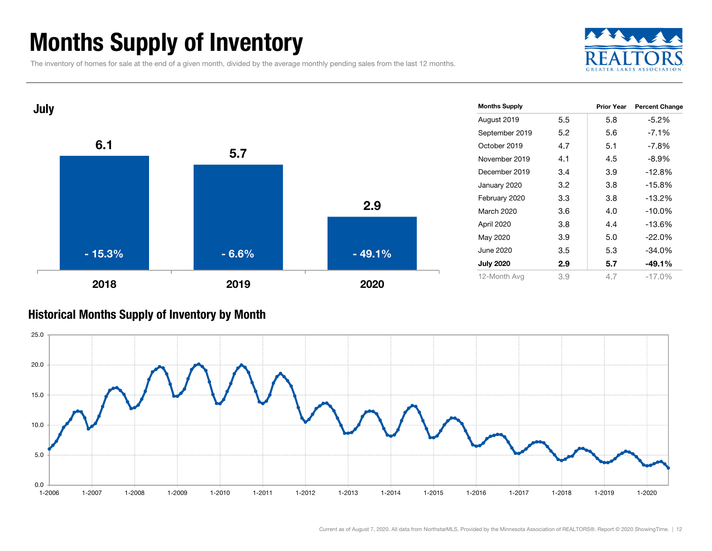### Months Supply of Inventory

The inventory of homes for sale at the end of a given month, divided by the average monthly pending sales from the last 12 months.





#### Historical Months Supply of Inventory by Month